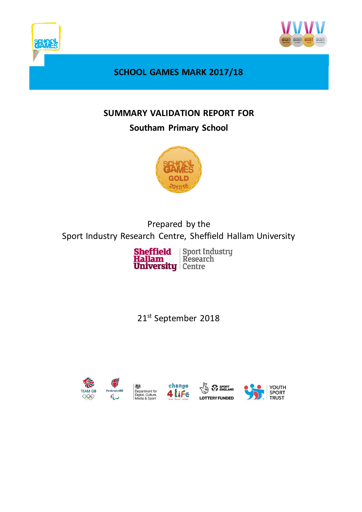



**SCHOOL GAMES MARK 2017/18**

## **SUMMARY VALIDATION REPORT FOR**

## **Southam Primary School**



Prepared by the Sport Industry Research Centre, Sheffield Hallam University

> Sport Industry<br>Research Sheffield<br>Hallam **University Centre**

21<sup>st</sup> September 2018







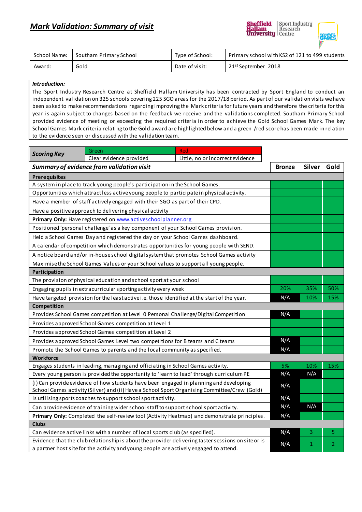

**Sheffield** 

Sport Industry

| School Name: | Southam Primary School | Type of School: | Primary school with KS2 of 121 to 499 students |
|--------------|------------------------|-----------------|------------------------------------------------|
| Award:       | Gold                   | Date of visit:  | 21 <sup>st</sup> September 2018                |

## *Introduction:*

The Sport Industry Research Centre at Sheffield Hallam University has been contracted by Sport England to conduct an independent validation on 325 schools covering 225 SGO areas for the 2017/18 period. As part of our validation visits we have been asked to make recommendations regarding improving the Mark criteria for future years and therefore the criteria for this year is again subject to changes based on the feedback we receive and the validations completed. Southam Primary School provided evidence of meeting or exceeding the required criteria in order to achieve the Gold School Games Mark. The key School Games Mark criteria relating to the Gold award are highlighted below and a green /red score has been made in relation to the evidence seen or discussed with the validation team.

| <b>Scoring Key</b>                                                                                                                                                                          | Green                                                                                        | <b>Red</b>                       |               |      |     |  |  |  |
|---------------------------------------------------------------------------------------------------------------------------------------------------------------------------------------------|----------------------------------------------------------------------------------------------|----------------------------------|---------------|------|-----|--|--|--|
|                                                                                                                                                                                             | Clear evidence provided                                                                      | Little, no or incorrect evidence |               |      |     |  |  |  |
| Summary of evidence from validation visit                                                                                                                                                   |                                                                                              | <b>Bronze</b>                    | <b>Silver</b> | Gold |     |  |  |  |
| <b>Prerequisites</b>                                                                                                                                                                        |                                                                                              |                                  |               |      |     |  |  |  |
| A system in place to track young people's participation in the School Games.                                                                                                                |                                                                                              |                                  |               |      |     |  |  |  |
| Opportunities which attract less active young people to participate in physical activity.                                                                                                   |                                                                                              |                                  |               |      |     |  |  |  |
| Have a member of staff actively engaged with their SGO as part of their CPD.                                                                                                                |                                                                                              |                                  |               |      |     |  |  |  |
| Have a positive approach to delivering physical activity                                                                                                                                    |                                                                                              |                                  |               |      |     |  |  |  |
| Primary Only: Have registered on www.activeschoolplanner.org                                                                                                                                |                                                                                              |                                  |               |      |     |  |  |  |
| Positioned 'personal challenge' as a key component of your School Games provision.                                                                                                          |                                                                                              |                                  |               |      |     |  |  |  |
| Held a School Games Day and registered the day on your School Games dashboard.                                                                                                              |                                                                                              |                                  |               |      |     |  |  |  |
| A calendar of competition which demonstrates opportunities for young people with SEND.                                                                                                      |                                                                                              |                                  |               |      |     |  |  |  |
| A notice board and/or in-house school digital system that promotes School Games activity                                                                                                    |                                                                                              |                                  |               |      |     |  |  |  |
|                                                                                                                                                                                             | Maximise the School Games Values or your School values to support all young people.          |                                  |               |      |     |  |  |  |
| Participation                                                                                                                                                                               |                                                                                              |                                  |               |      |     |  |  |  |
| The provision of physical education and school sport at your school                                                                                                                         |                                                                                              |                                  |               |      |     |  |  |  |
| Engaging pupils in extracurricular sporting activity every week                                                                                                                             |                                                                                              |                                  |               | 35%  | 50% |  |  |  |
|                                                                                                                                                                                             | Have targeted provision for the least active i.e. those identified at the start of the year. | N/A                              | 10%           | 15%  |     |  |  |  |
| Competition                                                                                                                                                                                 |                                                                                              |                                  |               |      |     |  |  |  |
| Provides School Games competition at Level 0 Personal Challenge/Digital Competition                                                                                                         | N/A                                                                                          |                                  |               |      |     |  |  |  |
| Provides approved School Games competition at Level 1                                                                                                                                       |                                                                                              |                                  |               |      |     |  |  |  |
| Provides approved School Games competition at Level 2                                                                                                                                       |                                                                                              |                                  |               |      |     |  |  |  |
| Provides approved School Games Level two competitions for B teams and C teams                                                                                                               |                                                                                              |                                  |               |      |     |  |  |  |
| Promote the School Games to parents and the local community as specified.                                                                                                                   | N/A                                                                                          |                                  |               |      |     |  |  |  |
| <b>Workforce</b>                                                                                                                                                                            |                                                                                              |                                  |               |      |     |  |  |  |
| Engages students in leading, managing and officiating in School Games activity.                                                                                                             |                                                                                              |                                  |               | 10%  | 15% |  |  |  |
| Every young person is provided the opportunity to 'learn to lead' through curriculum PE                                                                                                     | N/A                                                                                          | N/A                              |               |      |     |  |  |  |
| (i) Can provide evidence of how students have been engaged in planning and developing<br>School Games activity (Silver) and (ii) Have a School Sport Organising Committee/Crew (Gold)       |                                                                                              |                                  |               |      |     |  |  |  |
| Is utilising sports coaches to support school sport activity.                                                                                                                               | N/A                                                                                          |                                  |               |      |     |  |  |  |
| Can provide evidence of training wider school staff to support school sport activity.                                                                                                       | N/A                                                                                          | N/A                              |               |      |     |  |  |  |
|                                                                                                                                                                                             | N/A                                                                                          |                                  |               |      |     |  |  |  |
| Primary Only: Completed the self-review tool (Activity Heatmap) and demonstrate principles.<br><b>Clubs</b>                                                                                 |                                                                                              |                                  |               |      |     |  |  |  |
| Can evidence active links with a number of local sports club (as specified).                                                                                                                | N/A                                                                                          | 3.                               | 5             |      |     |  |  |  |
|                                                                                                                                                                                             | N/A                                                                                          |                                  |               |      |     |  |  |  |
| Evidence that the club relationship is about the provider delivering taster sessions on site or is<br>a partner host site for the activity and young people are actively engaged to attend. |                                                                                              |                                  |               | 1    | 2   |  |  |  |